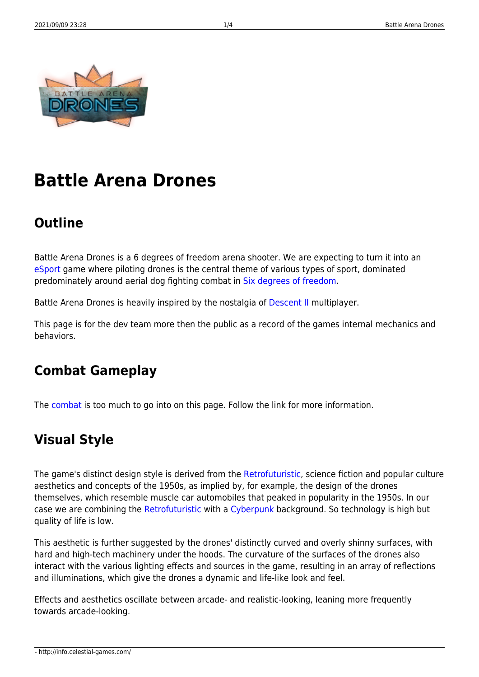

# **Battle Arena Drones**

## **Outline**

Battle Arena Drones is a 6 degrees of freedom arena shooter. We are expecting to turn it into an [eSport](https://en.wikipedia.org/wiki/ESports) game where piloting drones is the central theme of various types of sport, dominated predominately around aerial dog fighting combat in [Six degrees of freedom.](https://en.wikipedia.org/wiki/Six_degrees_of_freedom)

Battle Arena Drones is heavily inspired by the nostalgia of [Descent II](https://en.wikipedia.org/wiki/Descent_II) multiplayer.

This page is for the dev team more then the public as a record of the games internal mechanics and behaviors.

## **Combat Gameplay**

The [combat](http://info.celestial-games.com/doku.php?id=bad:combat) is too much to go into on this page. Follow the link for more information.

## **Visual Style**

The game's distinct design style is derived from the [Retrofuturistic,](https://en.wikipedia.org/wiki/Retrofuturism) science fiction and popular culture aesthetics and concepts of the 1950s, as implied by, for example, the design of the drones themselves, which resemble muscle car automobiles that peaked in popularity in the 1950s. In our case we are combining the [Retrofuturistic](https://en.wikipedia.org/wiki/Retrofuturism) with a [Cyberpunk](https://en.wikipedia.org/wiki/Cyberpunk) background. So technology is high but quality of life is low.

This aesthetic is further suggested by the drones' distinctly curved and overly shinny surfaces, with hard and high-tech machinery under the hoods. The curvature of the surfaces of the drones also interact with the various lighting effects and sources in the game, resulting in an array of reflections and illuminations, which give the drones a dynamic and life-like look and feel.

Effects and aesthetics oscillate between arcade- and realistic-looking, leaning more frequently towards arcade-looking.

- http://info.celestial-games.com/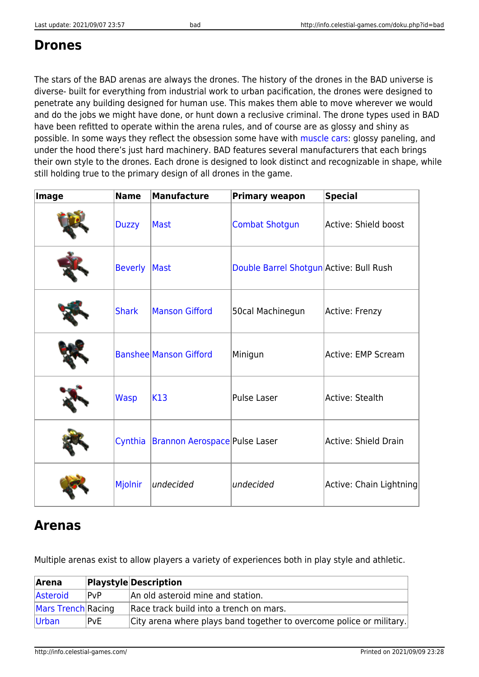#### **Drones**

The stars of the BAD arenas are always the drones. The history of the drones in the BAD universe is diverse- built for everything from industrial work to urban pacification, the drones were designed to penetrate any building designed for human use. This makes them able to move wherever we would and do the jobs we might have done, or hunt down a reclusive criminal. The drone types used in BAD have been refitted to operate within the arena rules, and of course are as glossy and shiny as possible. In some ways they reflect the obsession some have with [muscle cars:](https://en.wikipedia.org/wiki/Muscle_car) glossy paneling, and under the hood there's just hard machinery. BAD features several manufacturers that each brings their own style to the drones. Each drone is designed to look distinct and recognizable in shape, while still holding true to the primary design of all drones in the game.

| Image | <b>Name</b>    | <b>Manufacture</b>            | <b>Primary weapon</b>                   | <b>Special</b>              |
|-------|----------------|-------------------------------|-----------------------------------------|-----------------------------|
|       | <b>Duzzy</b>   | Mast                          | <b>Combat Shotgun</b>                   | Active: Shield boost        |
|       | <b>Beverly</b> | Mast                          | Double Barrel Shotgun Active: Bull Rush |                             |
|       | <b>Shark</b>   | <b>Manson Gifford</b>         | 50cal Machinegun                        | Active: Frenzy              |
|       |                | <b>Banshee Manson Gifford</b> | Minigun                                 | Active: EMP Scream          |
|       | <b>Wasp</b>    | K13                           | Pulse Laser                             | <b>Active: Stealth</b>      |
|       | Cynthia        | Brannon Aerospace Pulse Laser |                                         | <b>Active: Shield Drain</b> |
|       | Mjolnir        | undecided                     | undecided                               | Active: Chain Lightning     |

## **Arenas**

Multiple arenas exist to allow players a variety of experiences both in play style and athletic.

| Arena              |      | <b>Playstyle Description</b>                                         |
|--------------------|------|----------------------------------------------------------------------|
| Asteroid           | ∣P∨P | An old asteroid mine and station.                                    |
| Mars Trench Racing |      | Race track build into a trench on mars.                              |
| Urban              | PvE. | City arena where plays band together to overcome police or military. |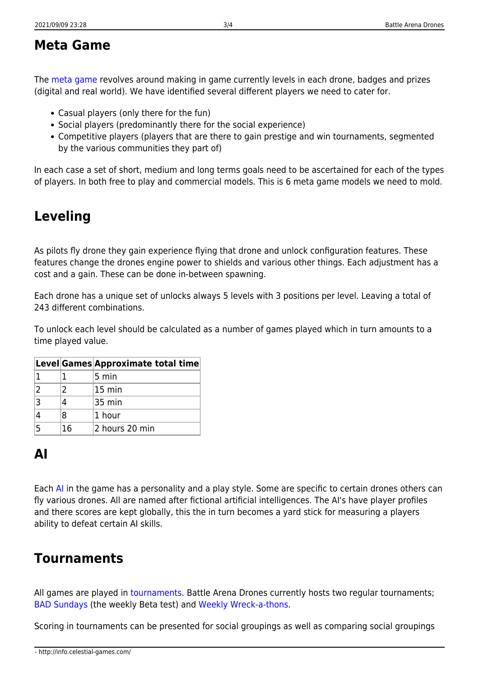#### **Meta Game**

The [meta game](http://info.celestial-games.com/doku.php?id=bad:metagame) revolves around making in game currently levels in each drone, badges and prizes (digital and real world). We have identified several different players we need to cater for.

- Casual players (only there for the fun)
- Social players (predominantly there for the social experience)
- Competitive players (players that are there to gain prestige and win tournaments, segmented by the various communities they part of)

In each case a set of short, medium and long terms goals need to be ascertained for each of the types of players. In both free to play and commercial models. This is 6 meta game models we need to mold.

# **Leveling**

As pilots fly drone they gain experience flying that drone and unlock configuration features. These features change the drones engine power to shields and various other things. Each adjustment has a cost and a gain. These can be done in-between spawning.

Each drone has a unique set of unlocks always 5 levels with 3 positions per level. Leaving a total of 243 different combinations.

To unlock each level should be calculated as a number of games played which in turn amounts to a time played value.

|    | Level Games Approximate total time |
|----|------------------------------------|
|    | 5 min                              |
|    | $ 15 \rangle$ min                  |
|    | 35 min                             |
| R  | 1 hour                             |
| 16 | 2 hours 20 min                     |

## **AI**

Each [AI](http://info.celestial-games.com/doku.php?id=bad:ai) in the game has a personality and a play style. Some are specific to certain drones others can fly various drones. All are named after fictional artificial intelligences. The AI's have player profiles and there scores are kept globally, this the in turn becomes a yard stick for measuring a players ability to defeat certain AI skills.

## **Tournaments**

All games are played in [tournaments.](http://info.celestial-games.com/doku.php?id=tournaments#tournaments) Battle Arena Drones currently hosts two regular tournaments; [BAD Sundays](http://info.celestial-games.com/doku.php?id=tournaments#bad_sundays) (the weekly Beta test) and [Weekly Wreck-a-thons](http://info.celestial-games.com/doku.php?id=tournaments#weekly_wreck-a-thon).

Scoring in tournaments can be presented for social groupings as well as comparing social groupings